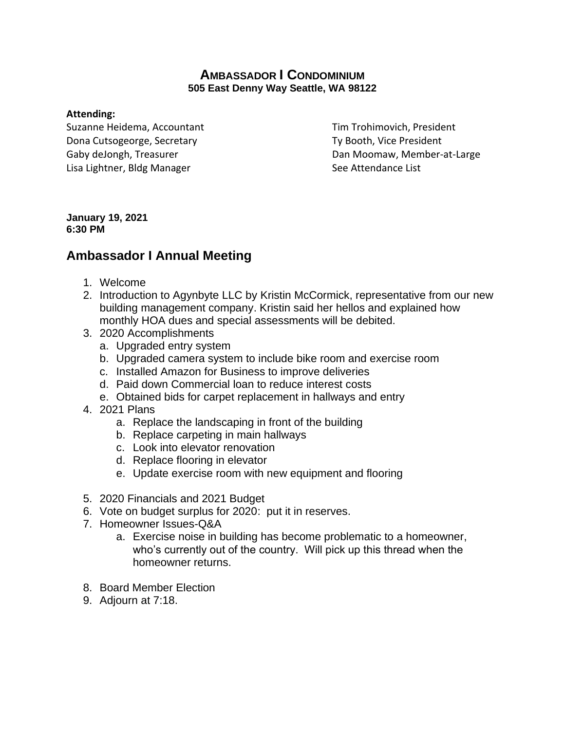## **AMBASSADOR I CONDOMINIUM 505 East Denny Way Seattle, WA 98122**

### **Attending:**

Suzanne Heidema, Accountant Tim Trohimovich, President Dona Cutsogeorge, Secretary Ty Booth, Vice President Lisa Lightner, Bldg Manager See Attendance List

Gaby deJongh, Treasurer **Dan Moomaw, Member-at-Large** 

#### **January 19, 2021 6:30 PM**

# **Ambassador I Annual Meeting**

- 1. Welcome
- 2. Introduction to Agynbyte LLC by Kristin McCormick, representative from our new building management company. Kristin said her hellos and explained how monthly HOA dues and special assessments will be debited.
- 3. 2020 Accomplishments
	- a. Upgraded entry system
	- b. Upgraded camera system to include bike room and exercise room
	- c. Installed Amazon for Business to improve deliveries
	- d. Paid down Commercial loan to reduce interest costs
	- e. Obtained bids for carpet replacement in hallways and entry
- 4. 2021 Plans
	- a. Replace the landscaping in front of the building
	- b. Replace carpeting in main hallways
	- c. Look into elevator renovation
	- d. Replace flooring in elevator
	- e. Update exercise room with new equipment and flooring
- 5. 2020 Financials and 2021 Budget
- 6. Vote on budget surplus for 2020: put it in reserves.
- 7. Homeowner Issues-Q&A
	- a. Exercise noise in building has become problematic to a homeowner, who's currently out of the country. Will pick up this thread when the homeowner returns.
- 8. Board Member Election
- 9. Adjourn at 7:18.